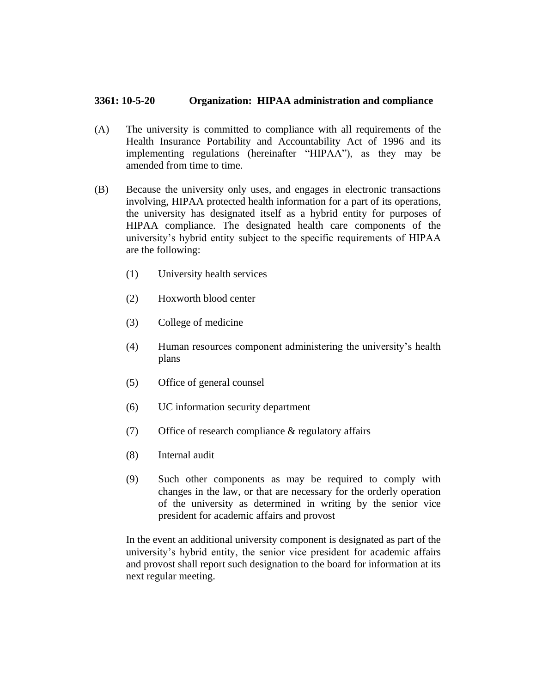## **3361: 10-5-20 Organization: HIPAA administration and compliance**

- (A) The university is committed to compliance with all requirements of the Health Insurance Portability and Accountability Act of 1996 and its implementing regulations (hereinafter "HIPAA"), as they may be amended from time to time.
- (B) Because the university only uses, and engages in electronic transactions involving, HIPAA protected health information for a part of its operations, the university has designated itself as a hybrid entity for purposes of HIPAA compliance. The designated health care components of the university's hybrid entity subject to the specific requirements of HIPAA are the following:
	- (1) University health services
	- (2) Hoxworth blood center
	- (3) College of medicine
	- (4) Human resources component administering the university's health plans
	- (5) Office of general counsel
	- (6) UC information security department
	- (7) Office of research compliance & regulatory affairs
	- (8) Internal audit
	- (9) Such other components as may be required to comply with changes in the law, or that are necessary for the orderly operation of the university as determined in writing by the senior vice president for academic affairs and provost

In the event an additional university component is designated as part of the university's hybrid entity, the senior vice president for academic affairs and provost shall report such designation to the board for information at its next regular meeting.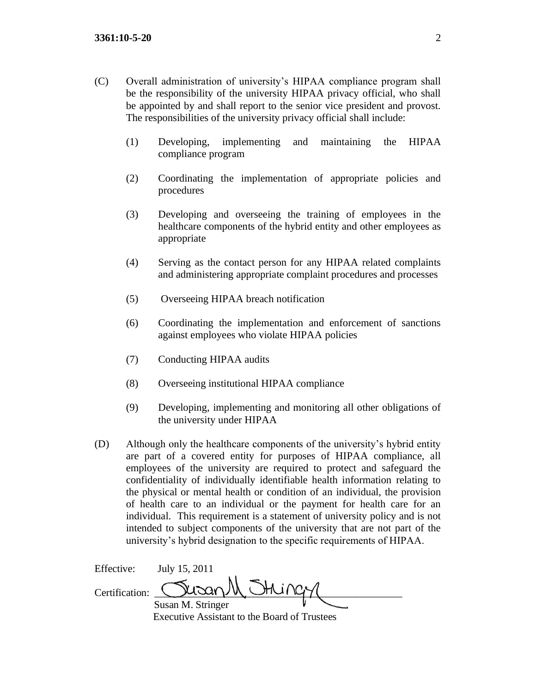- (C) Overall administration of university's HIPAA compliance program shall be the responsibility of the university HIPAA privacy official, who shall be appointed by and shall report to the senior vice president and provost. The responsibilities of the university privacy official shall include:
	- (1) Developing, implementing and maintaining the HIPAA compliance program
	- (2) Coordinating the implementation of appropriate policies and procedures
	- (3) Developing and overseeing the training of employees in the healthcare components of the hybrid entity and other employees as appropriate
	- (4) Serving as the contact person for any HIPAA related complaints and administering appropriate complaint procedures and processes
	- (5) Overseeing HIPAA breach notification
	- (6) Coordinating the implementation and enforcement of sanctions against employees who violate HIPAA policies
	- (7) Conducting HIPAA audits
	- (8) Overseeing institutional HIPAA compliance
	- (9) Developing, implementing and monitoring all other obligations of the university under HIPAA
- (D) Although only the healthcare components of the university's hybrid entity are part of a covered entity for purposes of HIPAA compliance, all employees of the university are required to protect and safeguard the confidentiality of individually identifiable health information relating to the physical or mental health or condition of an individual, the provision of health care to an individual or the payment for health care for an individual. This requirement is a statement of university policy and is not intended to subject components of the university that are not part of the university's hybrid designation to the specific requirements of HIPAA.

| Effective:     | July 15, 2011                                |  |
|----------------|----------------------------------------------|--|
| Certification: | Susan M Stringy                              |  |
|                | Susan M. Stringer                            |  |
|                | Executive Assistant to the Board of Trustees |  |